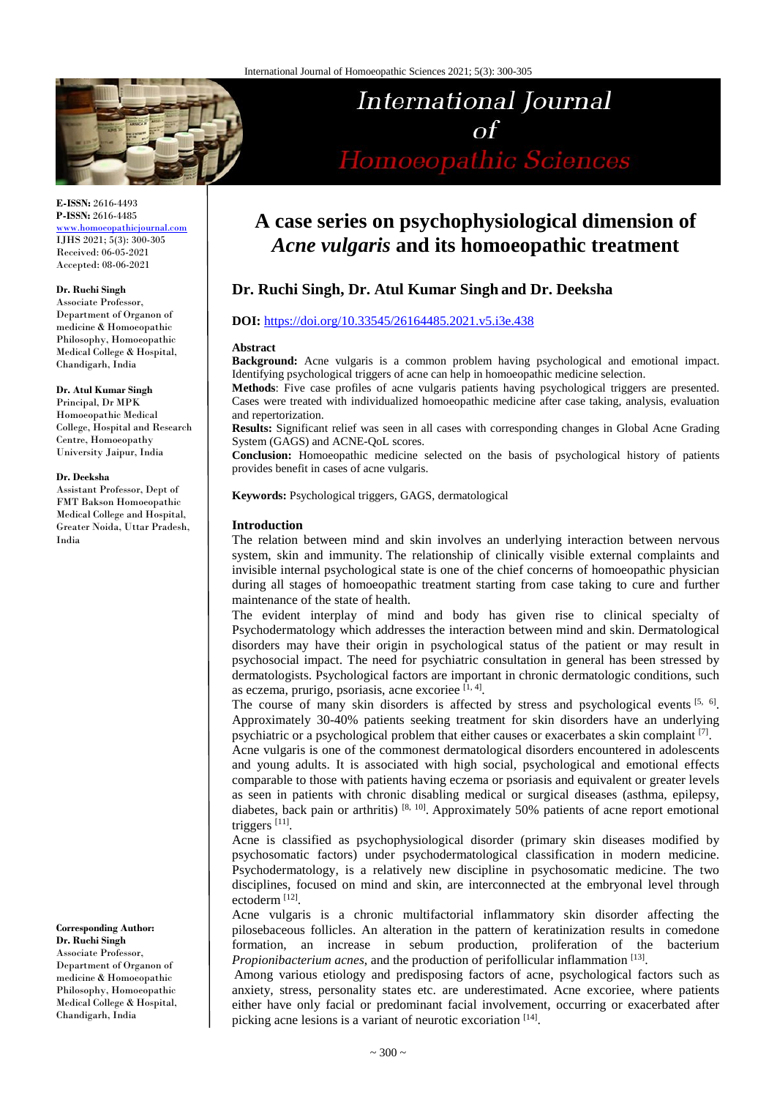

**E-ISSN:** 2616-4493 **P-ISSN:** 2616-4485

[www.homoeopathicjournal.com](file://Server/test/homoeopathicjournal/issue/vol%204/issue%201/www.homoeopathicjournal.com) IJHS 2021; 5(3): 300-305 Received: 06-05-2021 Accepted: 08-06-2021

#### **Dr. Ruchi Singh**

Associate Professor, Department of Organon of medicine & Homoeopathic Philosophy, Homoeopathic Medical College & Hospital, Chandigarh, India

#### **Dr. Atul Kumar Singh**

Principal, Dr MPK Homoeopathic Medical College, Hospital and Research Centre, Homoeopathy University Jaipur, India

#### **Dr. Deeksha**

Assistant Professor, Dept of FMT Bakson Homoeopathic Medical College and Hospital, Greater Noida, Uttar Pradesh, India

**Corresponding Author: Dr. Ruchi Singh** Associate Professor, Department of Organon of medicine & Homoeopathic Philosophy, Homoeopathic Medical College & Hospital, Chandigarh, India

# **A case series on psychophysiological dimension of**  *Acne vulgaris* **and its homoeopathic treatment**

**International Journal** 

 $\Omega$ 

Homoeopathic Sciences

# **Dr. Ruchi Singh, Dr. Atul Kumar Singh and Dr. Deeksha**

### **DOI:** <https://doi.org/10.33545/26164485.2021.v5.i3e.438>

#### **Abstract**

**Background:** Acne vulgaris is a common problem having psychological and emotional impact. Identifying psychological triggers of acne can help in homoeopathic medicine selection.

**Methods**: Five case profiles of acne vulgaris patients having psychological triggers are presented. Cases were treated with individualized homoeopathic medicine after case taking, analysis, evaluation and repertorization.

**Results:** Significant relief was seen in all cases with corresponding changes in Global Acne Grading System (GAGS) and ACNE-QoL scores.

**Conclusion:** Homoeopathic medicine selected on the basis of psychological history of patients provides benefit in cases of acne vulgaris.

**Keywords:** Psychological triggers, GAGS, dermatological

#### **Introduction**

The relation between mind and skin involves an underlying interaction between nervous system, skin and immunity. The relationship of clinically visible external complaints and invisible internal psychological state is one of the chief concerns of homoeopathic physician during all stages of homoeopathic treatment starting from case taking to cure and further maintenance of the state of health.

The evident interplay of mind and body has given rise to clinical specialty of Psychodermatology which addresses the interaction between mind and skin. Dermatological disorders may have their origin in psychological status of the patient or may result in psychosocial impact. The need for psychiatric consultation in general has been stressed by dermatologists. Psychological factors are important in chronic dermatologic conditions, such as eczema, prurigo, psoriasis, acne excoriee [1,4].

The course of many skin disorders is affected by stress and psychological events [5, 6]. Approximately 30-40% patients seeking treatment for skin disorders have an underlying psychiatric or a psychological problem that either causes or exacerbates a skin complaint [7].

Acne vulgaris is one of the commonest dermatological disorders encountered in adolescents and young adults. It is associated with high social, psychological and emotional effects comparable to those with patients having eczema or psoriasis and equivalent or greater levels as seen in patients with chronic disabling medical or surgical diseases (asthma, epilepsy, diabetes, back pain or arthritis)<sup>[8, 10]</sup>. Approximately 50% patients of acne report emotional triggers<sup>[11]</sup>.

Acne is classified as psychophysiological disorder (primary skin diseases modified by psychosomatic factors) under psychodermatological classification in modern medicine. Psychodermatology, is a relatively new discipline in psychosomatic medicine. The two disciplines, focused on mind and skin, are interconnected at the embryonal level through ectoderm [12] .

Acne vulgaris is a chronic multifactorial inflammatory skin disorder affecting the pilosebaceous follicles. An alteration in the pattern of keratinization results in comedone formation, an increase in sebum production, proliferation of the bacterium *Propionibacterium acnes*, and the production of perifollicular inflammation [13].

Among various etiology and predisposing factors of acne, psychological factors such as anxiety, stress, personality states etc. are underestimated. Acne excoriee, where patients either have only facial or predominant facial involvement, occurring or exacerbated after picking acne lesions is a variant of neurotic excoriation [14].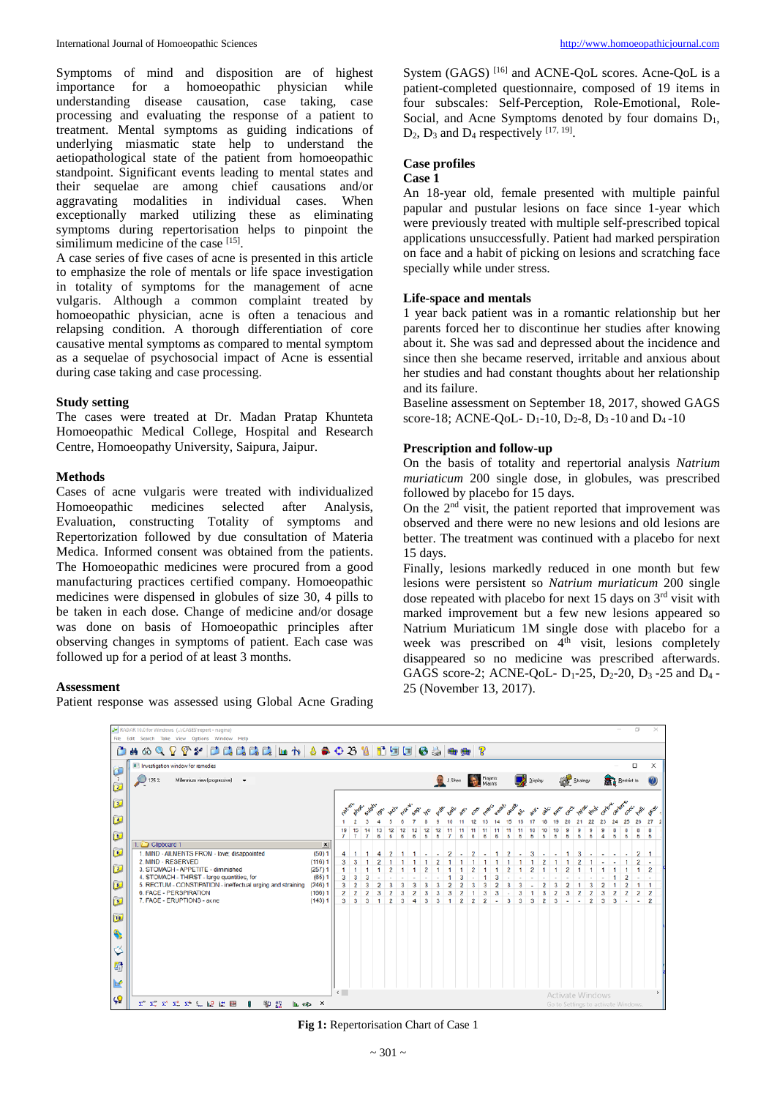Symptoms of mind and disposition are of highest importance for a homoeopathic physician while understanding disease causation, case taking, case processing and evaluating the response of a patient to treatment. Mental symptoms as guiding indications of underlying miasmatic state help to understand the aetiopathological state of the patient from homoeopathic standpoint. Significant events leading to mental states and their sequelae are among chief causations and/or aggravating modalities in individual cases. When exceptionally marked utilizing these as eliminating symptoms during repertorisation helps to pinpoint the similimum medicine of the case [15].

A case series of five cases of acne is presented in this article to emphasize the role of mentals or life space investigation in totality of symptoms for the management of acne vulgaris. Although a common complaint treated by homoeopathic physician, acne is often a tenacious and relapsing condition. A thorough differentiation of core causative mental symptoms as compared to mental symptom as a sequelae of psychosocial impact of Acne is essential during case taking and case processing.

#### **Study setting**

The cases were treated at Dr. Madan Pratap Khunteta Homoeopathic Medical College, Hospital and Research Centre, Homoeopathy University, Saipura, Jaipur.

#### **Methods**

Cases of acne vulgaris were treated with individualized Homoeopathic medicines selected after Analysis, Evaluation, constructing Totality of symptoms and Repertorization followed by due consultation of Materia Medica. Informed consent was obtained from the patients. The Homoeopathic medicines were procured from a good manufacturing practices certified company. Homoeopathic medicines were dispensed in globules of size 30, 4 pills to be taken in each dose. Change of medicine and/or dosage was done on basis of Homoeopathic principles after observing changes in symptoms of patient. Each case was followed up for a period of at least 3 months.

#### **Assessment**

Patient response was assessed using Global Acne Grading

System (GAGS)<sup>[16]</sup> and ACNE-QoL scores. Acne-QoL is a patient-completed questionnaire, composed of 19 items in four subscales: Self-Perception, Role-Emotional, Role-Social, and Acne Symptoms denoted by four domains  $D_1$ ,  $D_2$ ,  $D_3$  and  $D_4$  respectively  $^{[17, 19]}$ .

# **Case profiles**

#### **Case 1**

An 18-year old, female presented with multiple painful papular and pustular lesions on face since 1-year which were previously treated with multiple self-prescribed topical applications unsuccessfully. Patient had marked perspiration on face and a habit of picking on lesions and scratching face specially while under stress.

#### **Life-space and mentals**

1 year back patient was in a romantic relationship but her parents forced her to discontinue her studies after knowing about it. She was sad and depressed about the incidence and since then she became reserved, irritable and anxious about her studies and had constant thoughts about her relationship and its failure.

Baseline assessment on September 18, 2017, showed GAGS score-18; ACNE-QoL-  $D_1$ -10,  $D_2$ -8,  $D_3$ -10 and  $D_4$ -10

#### **Prescription and follow-up**

On the basis of totality and repertorial analysis *Natrium muriaticum* 200 single dose, in globules, was prescribed followed by placebo for 15 days.

On the  $2<sup>nd</sup>$  visit, the patient reported that improvement was observed and there were no new lesions and old lesions are better. The treatment was continued with a placebo for next 15 days.

Finally, lesions markedly reduced in one month but few lesions were persistent so *Natrium muriaticum* 200 single dose repeated with placebo for next 15 days on  $3<sup>rd</sup>$  visit with marked improvement but a few new lesions appeared so Natrium Muriaticum 1M single dose with placebo for a week was prescribed on 4<sup>th</sup> visit, lesions completely disappeared so no medicine was prescribed afterwards. GAGS score-2; ACNE-QoL-  $D_1$ -25,  $D_2$ -20,  $D_3$ -25 and  $D_4$ -25 (November 13, 2017).



**Fig 1:** Repertorisation Chart of Case 1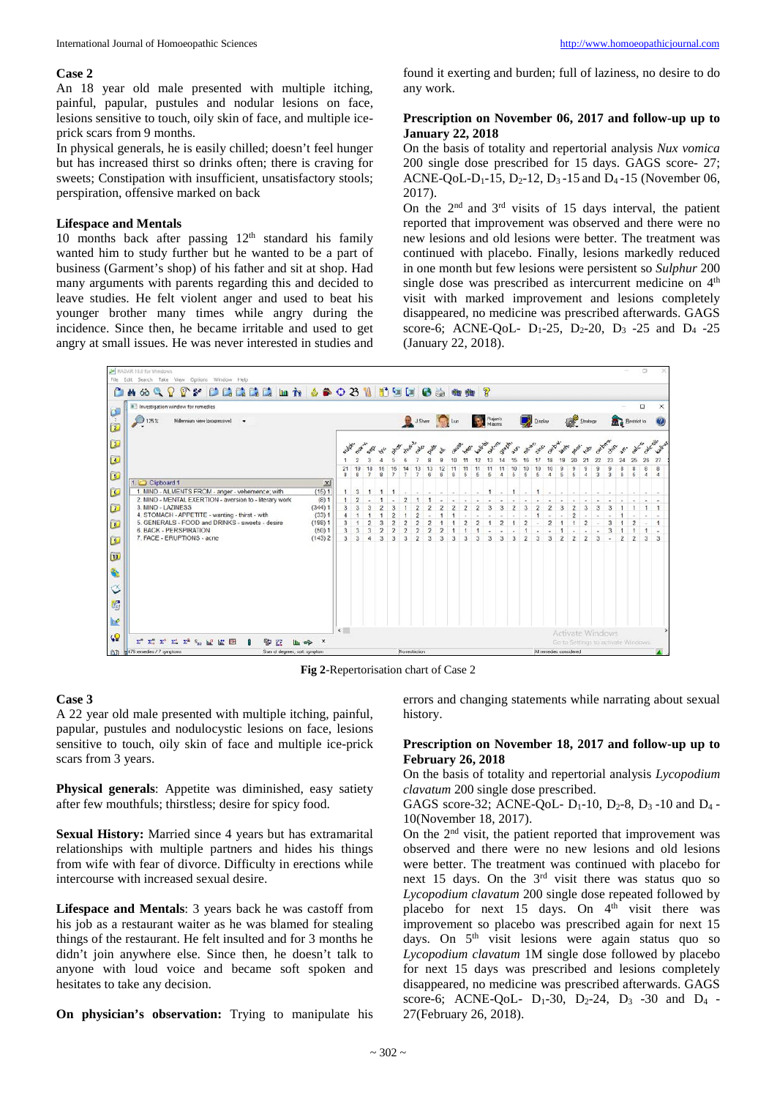#### **Case 2**

An 18 year old male presented with multiple itching, painful, papular, pustules and nodular lesions on face, lesions sensitive to touch, oily skin of face, and multiple iceprick scars from 9 months.

In physical generals, he is easily chilled; doesn't feel hunger but has increased thirst so drinks often; there is craving for sweets; Constipation with insufficient, unsatisfactory stools; perspiration, offensive marked on back

#### **Lifespace and Mentals**

10 months back after passing  $12<sup>th</sup>$  standard his family wanted him to study further but he wanted to be a part of business (Garment's shop) of his father and sit at shop. Had many arguments with parents regarding this and decided to leave studies. He felt violent anger and used to beat his younger brother many times while angry during the incidence. Since then, he became irritable and used to get angry at small issues. He was never interested in studies and found it exerting and burden; full of laziness, no desire to do any work.

#### **Prescription on November 06, 2017 and follow-up up to January 22, 2018**

On the basis of totality and repertorial analysis *Nux vomica* 200 single dose prescribed for 15 days. GAGS score- 27; ACNE-QoL-D<sub>1</sub>-15, D<sub>2</sub>-12, D<sub>3</sub>-15 and D<sub>4</sub>-15 (November 06, 2017).

On the  $2<sup>nd</sup>$  and  $3<sup>rd</sup>$  visits of 15 days interval, the patient reported that improvement was observed and there were no new lesions and old lesions were better. The treatment was continued with placebo. Finally, lesions markedly reduced in one month but few lesions were persistent so *Sulphur* 200 single dose was prescribed as intercurrent medicine on 4<sup>th</sup> visit with marked improvement and lesions completely disappeared, no medicine was prescribed afterwards. GAGS score-6; ACNE-QoL-  $D_1-25$ ,  $D_2-20$ ,  $D_3 -25$  and  $D_4 -25$ (January 22, 2018).



**Fig 2**-Repertorisation chart of Case 2

#### **Case 3**

A 22 year old male presented with multiple itching, painful, papular, pustules and nodulocystic lesions on face, lesions sensitive to touch, oily skin of face and multiple ice-prick scars from 3 years.

**Physical generals**: Appetite was diminished, easy satiety after few mouthfuls; thirstless; desire for spicy food.

**Sexual History:** Married since 4 years but has extramarital relationships with multiple partners and hides his things from wife with fear of divorce. Difficulty in erections while intercourse with increased sexual desire.

**Lifespace and Mentals**: 3 years back he was castoff from his job as a restaurant waiter as he was blamed for stealing things of the restaurant. He felt insulted and for 3 months he didn't join anywhere else. Since then, he doesn't talk to anyone with loud voice and became soft spoken and hesitates to take any decision.

**On physician's observation:** Trying to manipulate his

errors and changing statements while narrating about sexual history.

#### **Prescription on November 18, 2017 and follow-up up to February 26, 2018**

On the basis of totality and repertorial analysis *Lycopodium clavatum* 200 single dose prescribed.

GAGS score-32; ACNE-QoL-  $D_1-10$ ,  $D_2-8$ ,  $D_3-10$  and  $D_4$ -10(November 18, 2017).

On the 2nd visit, the patient reported that improvement was observed and there were no new lesions and old lesions were better. The treatment was continued with placebo for next 15 days. On the 3<sup>rd</sup> visit there was status quo so *Lycopodium clavatum* 200 single dose repeated followed by placebo for next 15 days. On  $4<sup>th</sup>$  visit there was improvement so placebo was prescribed again for next 15 days. On 5<sup>th</sup> visit lesions were again status quo so *Lycopodium clavatum* 1M single dose followed by placebo for next 15 days was prescribed and lesions completely disappeared, no medicine was prescribed afterwards. GAGS score-6; ACNE-QoL-  $D_1-30$ ,  $D_2-24$ ,  $D_3-30$  and  $D_4$  -27(February 26, 2018).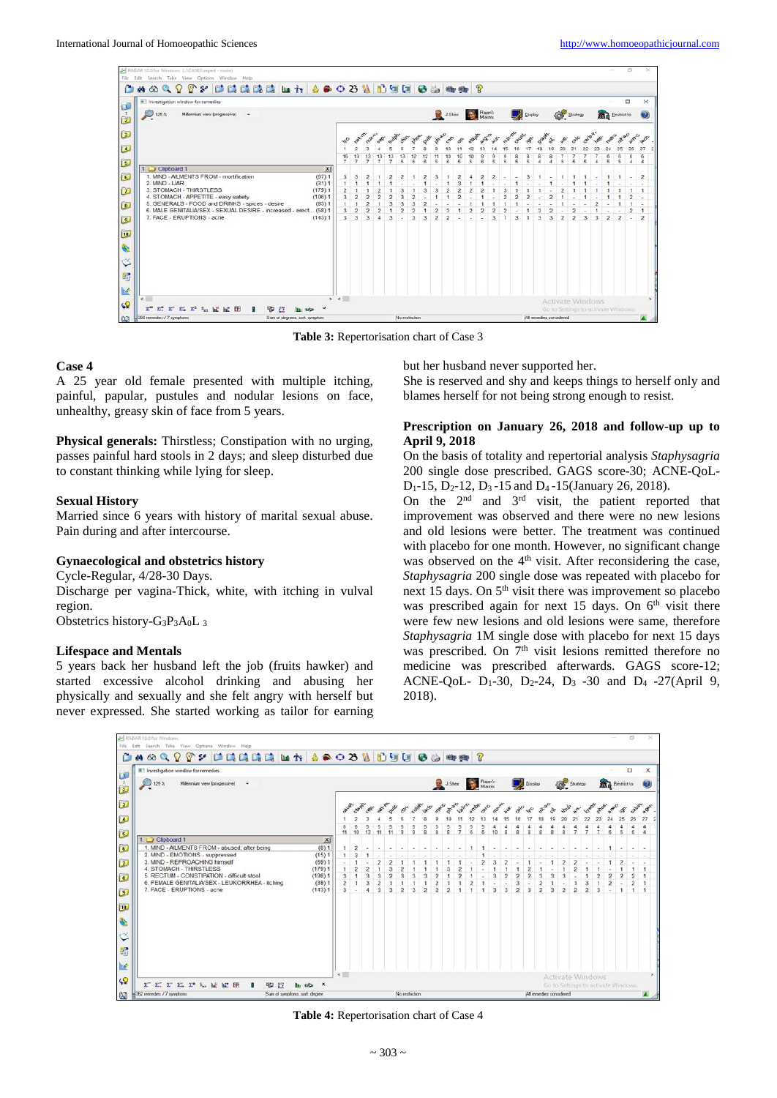| KADAR 10.0 for Windows ( \CASES\repert - moin)                                              |                               |                |  |  |  |  |                |  |  |                  |  |                                                                |                |  |  |  |               |               |  |  |          |  |                         |                   |                                   |   | m |  |
|---------------------------------------------------------------------------------------------|-------------------------------|----------------|--|--|--|--|----------------|--|--|------------------|--|----------------------------------------------------------------|----------------|--|--|--|---------------|---------------|--|--|----------|--|-------------------------|-------------------|-----------------------------------|---|---|--|
| File Edit Search Take View Options Window Help                                              |                               |                |  |  |  |  |                |  |  |                  |  |                                                                |                |  |  |  |               |               |  |  |          |  |                         |                   |                                   |   |   |  |
| 0409977055551x1660310985405                                                                 |                               |                |  |  |  |  |                |  |  |                  |  |                                                                |                |  |  |  |               |               |  |  |          |  |                         |                   |                                   |   |   |  |
| <sup>8</sup> Investigation window for remedies                                              |                               |                |  |  |  |  |                |  |  |                  |  |                                                                |                |  |  |  |               |               |  |  |          |  |                         |                   |                                   | ▭ |   |  |
| $\begin{bmatrix} 1 \\ 7 \\ 2 \end{bmatrix}$<br>Millennium view (progressive)<br>125%<br>٠   |                               |                |  |  |  |  |                |  |  | J.Sheir Rajari's |  |                                                                |                |  |  |  | Display       |               |  |  | Strategy |  |                         | <b>Bestict to</b> |                                   |   |   |  |
| $\omega$                                                                                    |                               |                |  |  |  |  |                |  |  |                  |  |                                                                |                |  |  |  |               |               |  |  |          |  |                         |                   | 3888880 a 360 88 a 360 0 88 A 88° |   |   |  |
| $\omega$                                                                                    |                               |                |  |  |  |  |                |  |  |                  |  |                                                                |                |  |  |  |               |               |  |  |          |  |                         |                   |                                   |   |   |  |
|                                                                                             |                               |                |  |  |  |  | $\frac{13}{5}$ |  |  |                  |  | $\frac{10}{5}$                                                 | $\frac{10}{5}$ |  |  |  | $\frac{8}{5}$ | $\frac{8}{5}$ |  |  |          |  |                         |                   |                                   |   |   |  |
| $\bullet$<br>1 Clipboard 1                                                                  | $\times$                      |                |  |  |  |  |                |  |  |                  |  |                                                                |                |  |  |  |               |               |  |  |          |  |                         |                   |                                   |   |   |  |
| C<br>1. MIND - AILMENTS FROM - mortification                                                | (67)1                         |                |  |  |  |  |                |  |  |                  |  |                                                                |                |  |  |  |               | 3             |  |  |          |  |                         |                   |                                   |   |   |  |
| 2. MIND - LIAR                                                                              | (31)1                         |                |  |  |  |  |                |  |  |                  |  |                                                                |                |  |  |  |               |               |  |  |          |  |                         |                   |                                   |   |   |  |
| $\omega$<br>3. STOMACH - THIRSTLESS<br>4. STOMACH - APPETITE - easy satiety                 | (179)1<br>(106)1              |                |  |  |  |  |                |  |  |                  |  |                                                                |                |  |  |  |               |               |  |  |          |  |                         |                   |                                   |   |   |  |
| 5. GENERALS - FOOD and DRINKS - spices - desire                                             | (83)1                         |                |  |  |  |  |                |  |  |                  |  |                                                                |                |  |  |  |               |               |  |  |          |  |                         |                   |                                   |   |   |  |
| $\omega$<br>6. MALE GENITALIA/SEX - SEXUAL DESIRE - increased - erect (58) 1                |                               |                |  |  |  |  |                |  |  |                  |  |                                                                |                |  |  |  |               |               |  |  |          |  |                         |                   |                                   |   |   |  |
| 7. FACE - ERUPTIONS - acne<br>$\mathbf{B}$                                                  | (143)1                        |                |  |  |  |  |                |  |  |                  |  |                                                                |                |  |  |  |               |               |  |  |          |  |                         |                   |                                   |   |   |  |
|                                                                                             |                               |                |  |  |  |  |                |  |  |                  |  |                                                                |                |  |  |  |               |               |  |  |          |  |                         |                   |                                   |   |   |  |
| $\boxed{10}$                                                                                |                               |                |  |  |  |  |                |  |  |                  |  |                                                                |                |  |  |  |               |               |  |  |          |  |                         |                   |                                   |   |   |  |
| $\frac{d\mathbf{y}}{d\mathbf{y}}$                                                           |                               |                |  |  |  |  |                |  |  |                  |  |                                                                |                |  |  |  |               |               |  |  |          |  |                         |                   |                                   |   |   |  |
|                                                                                             |                               |                |  |  |  |  |                |  |  |                  |  |                                                                |                |  |  |  |               |               |  |  |          |  |                         |                   |                                   |   |   |  |
| $\heartsuit$                                                                                |                               |                |  |  |  |  |                |  |  |                  |  |                                                                |                |  |  |  |               |               |  |  |          |  |                         |                   |                                   |   |   |  |
| $\mathcal{U}^{\bullet}_{ij}$                                                                |                               |                |  |  |  |  |                |  |  |                  |  |                                                                |                |  |  |  |               |               |  |  |          |  |                         |                   |                                   |   |   |  |
|                                                                                             |                               |                |  |  |  |  |                |  |  |                  |  |                                                                |                |  |  |  |               |               |  |  |          |  |                         |                   |                                   |   |   |  |
| M                                                                                           |                               |                |  |  |  |  |                |  |  |                  |  |                                                                |                |  |  |  |               |               |  |  |          |  |                         |                   |                                   |   |   |  |
| <b>GP</b>                                                                                   |                               | > 1            |  |  |  |  |                |  |  |                  |  |                                                                |                |  |  |  |               |               |  |  |          |  | <b>Activate Windows</b> |                   |                                   |   |   |  |
| z.<br>$\Sigma^*$ , $\Sigma^*$ , $\Sigma^*$ , $\Sigma^*$<br>h.P.<br><b>Batt</b><br>-EH<br>90 |                               |                |  |  |  |  |                |  |  |                  |  | Go to Settings to activate Windows.<br>All remedies considered |                |  |  |  |               |               |  |  |          |  |                         |                   |                                   |   |   |  |
| 350 remedies / 7 symptoms<br>$\mathfrak{m}$                                                 | Sum of degrees, sort, symptom | No restriction |  |  |  |  |                |  |  |                  |  |                                                                |                |  |  |  |               |               |  |  |          |  |                         |                   |                                   |   |   |  |

**Table 3:** Repertorisation chart of Case 3

# **Case 4**

A 25 year old female presented with multiple itching, painful, papular, pustules and nodular lesions on face, unhealthy, greasy skin of face from 5 years.

**Physical generals:** Thirstless; Constipation with no urging, passes painful hard stools in 2 days; and sleep disturbed due to constant thinking while lying for sleep.

#### **Sexual History**

Married since 6 years with history of marital sexual abuse. Pain during and after intercourse.

# **Gynaecological and obstetrics history**

Cycle-Regular, 4/28-30 Days. Discharge per vagina-Thick, white, with itching in vulval region.

Obstetrics history- $G_3P_3A_0L_3$ 

# **Lifespace and Mentals**

5 years back her husband left the job (fruits hawker) and started excessive alcohol drinking and abusing her physically and sexually and she felt angry with herself but never expressed. She started working as tailor for earning but her husband never supported her.

She is reserved and shy and keeps things to herself only and blames herself for not being strong enough to resist.

#### **Prescription on January 26, 2018 and follow-up up to April 9, 2018**

On the basis of totality and repertorial analysis *Staphysagria* 200 single dose prescribed. GAGS score-30; ACNE-QoL- $D_1$ -15,  $D_2$ -12,  $D_3$ -15 and  $D_4$ -15(January 26, 2018).

On the  $2<sup>nd</sup>$  and  $3<sup>rd</sup>$  visit, the patient reported that improvement was observed and there were no new lesions and old lesions were better. The treatment was continued with placebo for one month. However, no significant change was observed on the 4<sup>th</sup> visit. After reconsidering the case, *Staphysagria* 200 single dose was repeated with placebo for next 15 days. On 5th visit there was improvement so placebo was prescribed again for next 15 days. On  $6<sup>th</sup>$  visit there were few new lesions and old lesions were same, therefore *Staphysagria* 1M single dose with placebo for next 15 days was prescribed. On  $7<sup>th</sup>$  visit lesions remitted therefore no medicine was prescribed afterwards. GAGS score-12; ACNE-QoL-  $D_1-30$ ,  $D_2-24$ ,  $D_3-30$  and  $D_4-27(Apri)$  9, 2018).



**Table 4:** Repertorisation chart of Case 4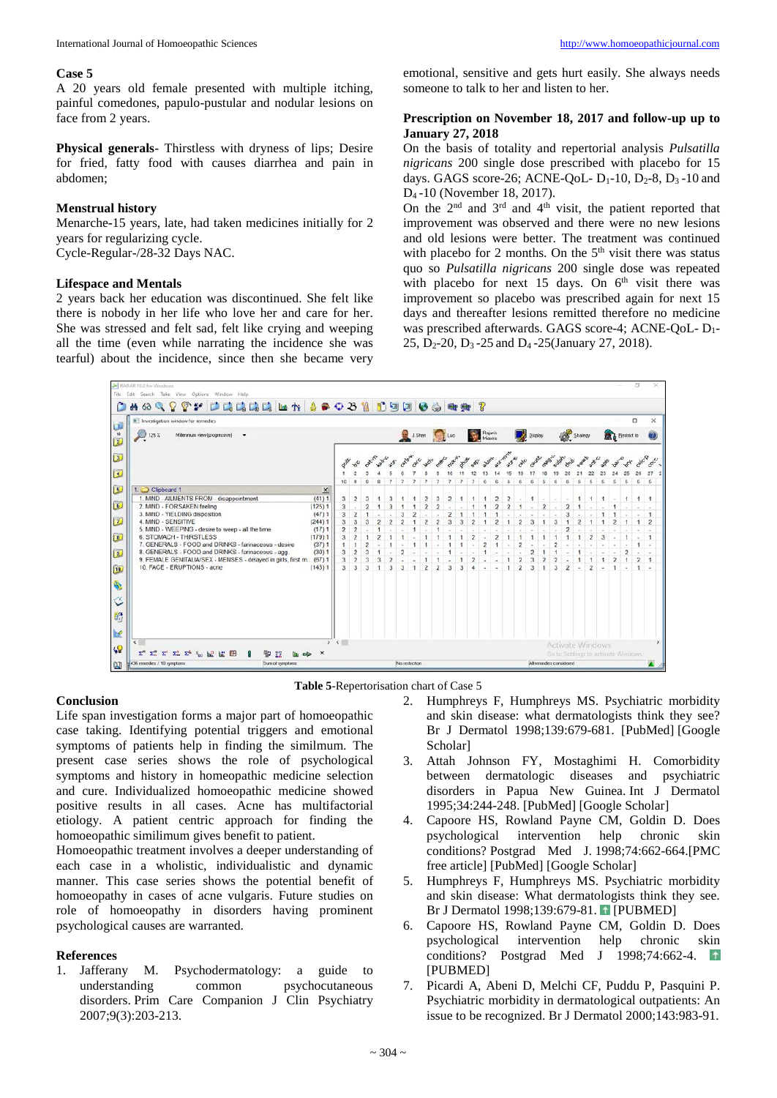#### **Case 5**

A 20 years old female presented with multiple itching, painful comedones, papulo-pustular and nodular lesions on face from 2 years.

**Physical generals**- Thirstless with dryness of lips; Desire for fried, fatty food with causes diarrhea and pain in abdomen;

#### **Menstrual history**

Menarche**-**15 years, late, had taken medicines initially for 2 years for regularizing cycle. Cycle-Regular-/28-32 Days NAC.

#### **Lifespace and Mentals**

2 years back her education was discontinued. She felt like there is nobody in her life who love her and care for her. She was stressed and felt sad, felt like crying and weeping all the time (even while narrating the incidence she was tearful) about the incidence, since then she became very

emotional, sensitive and gets hurt easily. She always needs someone to talk to her and listen to her.

#### **Prescription on November 18, 2017 and follow-up up to January 27, 2018**

On the basis of totality and repertorial analysis *Pulsatilla nigricans* 200 single dose prescribed with placebo for 15 days. GAGS score-26; ACNE-QoL-  $D_1$ -10,  $D_2$ -8,  $D_3$ -10 and D4 -10 (November 18, 2017).

On the  $2<sup>nd</sup>$  and  $3<sup>rd</sup>$  and  $4<sup>th</sup>$  visit, the patient reported that improvement was observed and there were no new lesions and old lesions were better. The treatment was continued with placebo for 2 months. On the  $5<sup>th</sup>$  visit there was status quo so *Pulsatilla nigricans* 200 single dose was repeated with placebo for next 15 days. On  $6<sup>th</sup>$  visit there was improvement so placebo was prescribed again for next 15 days and thereafter lesions remitted therefore no medicine was prescribed afterwards. GAGS score-4; ACNE-QoL- D1- 25, D2-20, D3 -25 and D4 -25(January 27, 2018).





#### **Conclusion**

Life span investigation forms a major part of homoeopathic case taking. Identifying potential triggers and emotional symptoms of patients help in finding the similmum. The present case series shows the role of psychological symptoms and history in homeopathic medicine selection and cure. Individualized homoeopathic medicine showed positive results in all cases. Acne has multifactorial etiology. A patient centric approach for finding the homoeopathic similimum gives benefit to patient.

Homoeopathic treatment involves a deeper understanding of each case in a wholistic, individualistic and dynamic manner. This case series shows the potential benefit of homoeopathy in cases of acne vulgaris. Future studies on role of homoeopathy in disorders having prominent psychological causes are warranted.

#### **References**

1. Jafferany M. Psychodermatology: a guide to understanding common psychocutaneous disorders. Prim Care Companion J Clin Psychiatry 2007;9(3):203-213.

- 2. Humphreys F, Humphreys MS. Psychiatric morbidity and skin disease: what dermatologists think they see? Br J Dermatol 1998;139:679-681. [PubMed] [Google Scholar]
- 3. Attah Johnson FY, Mostaghimi H. Comorbidity between dermatologic diseases and psychiatric disorders in Papua New Guinea. Int J Dermatol 1995;34:244-248. [PubMed] [Google Scholar]
- 4. Capoore HS, Rowland Payne CM, Goldin D. Does psychological intervention help chronic skin conditions? Postgrad Med J. 1998;74:662-664.[PMC free article] [PubMed] [Google Scholar]
- 5. Humphreys F, Humphreys MS. Psychiatric morbidity and skin disease: What dermatologists think they see. Br J Dermatol 1998;139:679-81. [PUBMED]
- 6. Capoore HS, Rowland Payne CM, Goldin D. Does psychological intervention help chronic skin conditions? Postgrad Med J 1998;74:662-4. [PUBMED]
- 7. Picardi A, Abeni D, Melchi CF, Puddu P, Pasquini P. Psychiatric morbidity in dermatological outpatients: An issue to be recognized. Br J Dermatol 2000;143:983-91.